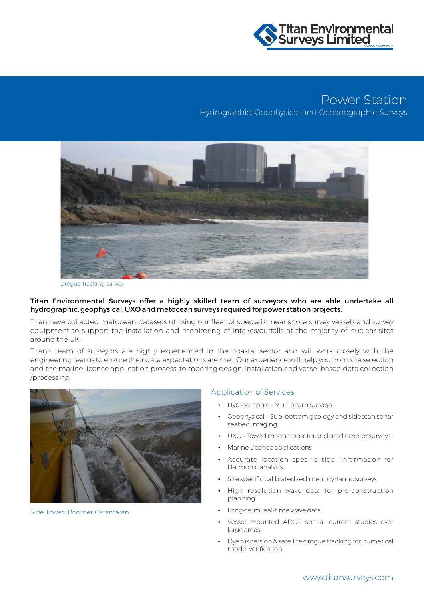

# Power Station

Hydrographic, Geophysical and Oceanographic Surveys



Drogue tracking survey

#### Titan Environmental Surveys offer a highly skilled team of surveyors who are able undertake all hydrographic, geophysical, UXO and metocean surveys required for power station projects.

Titan have collected metocean datasets utilising our fleet of specialist near shore survey vessels and survey equipment to support the installation and monitoring of intakes/outfalls at the majority of nuclear sites around the UK.

Titan's team of surveyors are highly experienced in the coastal sector and will work closely with the engineering teams to ensure their data expectations are met. Our experience will help you from site selection and the marine licence application process, to mooring design, installation and vessel based data collection /processing.



Side Towed Boomer Catamaran

#### Application of Services

- Hydrographic Multibeam Surveys
- Geophysical Sub-bottom geology and sidescan sonar seabed imaging.
- UXO Towed magnetometer and gradiometer surveys
- Marine Licence applications
- Accurate location specific tidal information for Harmonic analysis
- Site specific calibrated sediment dynamic surveys
- High resolution wave data for pre-construction planning
- Long-term real-time wave data
- Vessel mounted ADCP spatial current studies over large areas
- Dye dispersion & satellite drogue tracking for numerical model verification